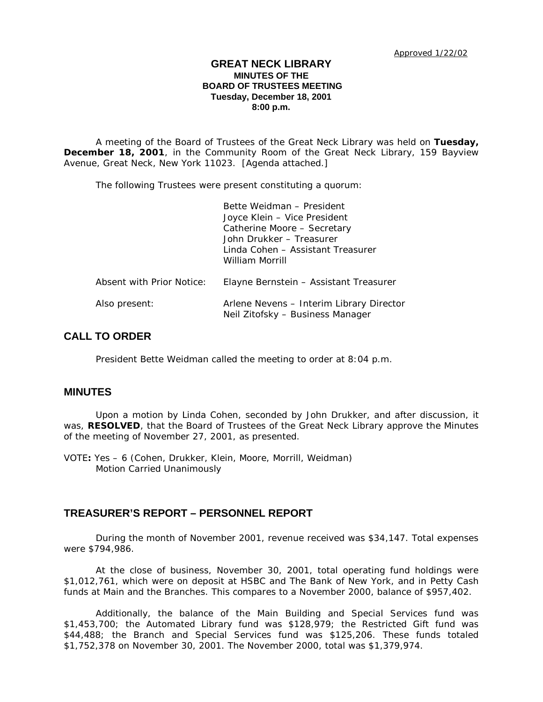## **GREAT NECK LIBRARY MINUTES OF THE BOARD OF TRUSTEES MEETING Tuesday, December 18, 2001 8:00 p.m.**

A meeting of the Board of Trustees of the Great Neck Library was held on **Tuesday, December 18, 2001**, in the Community Room of the Great Neck Library, 159 Bayview Avenue, Great Neck, New York 11023. [Agenda attached.]

The following Trustees were present constituting a quorum:

|                           | Bette Weidman - President<br>Joyce Klein - Vice President<br>Catherine Moore - Secretary<br>John Drukker - Treasurer<br>Linda Cohen - Assistant Treasurer<br>William Morrill |
|---------------------------|------------------------------------------------------------------------------------------------------------------------------------------------------------------------------|
| Absent with Prior Notice: | Elayne Bernstein – Assistant Treasurer                                                                                                                                       |
| Also present:             | Arlene Nevens – Interim Library Director<br>Neil Zitofsky - Business Manager                                                                                                 |

# **CALL TO ORDER**

President Bette Weidman called the meeting to order at 8:04 p.m.

## **MINUTES**

Upon a motion by Linda Cohen, seconded by John Drukker, and after discussion, it was, **RESOLVED**, that the Board of Trustees of the Great Neck Library approve the Minutes of the meeting of November 27, 2001, as presented.

VOTE**:** Yes – 6 (Cohen, Drukker, Klein, Moore, Morrill, Weidman) *Motion Carried Unanimously*

## **TREASURER'S REPORT – PERSONNEL REPORT**

During the month of November 2001, revenue received was \$34,147. Total expenses were \$794,986.

At the close of business, November 30, 2001, total operating fund holdings were \$1,012,761, which were on deposit at HSBC and The Bank of New York, and in Petty Cash funds at Main and the Branches. This compares to a November 2000, balance of \$957,402.

Additionally, the balance of the Main Building and Special Services fund was \$1,453,700; the Automated Library fund was \$128,979; the Restricted Gift fund was \$44,488; the Branch and Special Services fund was \$125,206. These funds totaled \$1,752,378 on November 30, 2001. The November 2000, total was \$1,379,974.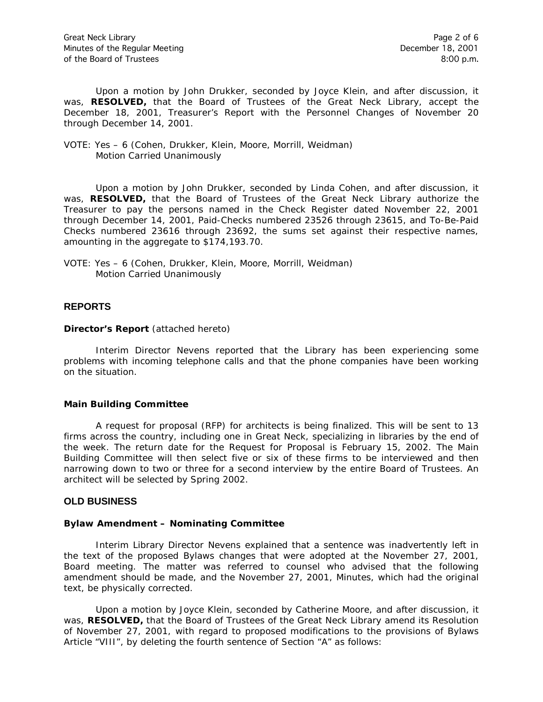Upon a motion by John Drukker, seconded by Joyce Klein, and after discussion, it was, **RESOLVED,** that the Board of Trustees of the Great Neck Library, accept the December 18, 2001, Treasurer's Report with the Personnel Changes of November 20 through December 14, 2001.

#### VOTE: Yes – 6 (Cohen, Drukker, Klein, Moore, Morrill, Weidman) *Motion Carried Unanimously*

Upon a motion by John Drukker, seconded by Linda Cohen, and after discussion, it was, **RESOLVED,** that the Board of Trustees of the Great Neck Library authorize the Treasurer to pay the persons named in the Check Register dated November 22, 2001 through December 14, 2001, Paid-Checks numbered 23526 through 23615, and To-Be-Paid Checks numbered 23616 through 23692, the sums set against their respective names, amounting in the aggregate to \$174,193.70.

VOTE: Yes – 6 (Cohen, Drukker, Klein, Moore, Morrill, Weidman) *Motion Carried Unanimously*

### **REPORTS**

#### **Director's Report** (attached hereto)

Interim Director Nevens reported that the Library has been experiencing some problems with incoming telephone calls and that the phone companies have been working on the situation.

## **Main Building Committee**

A request for proposal (RFP) for architects is being finalized. This will be sent to 13 firms across the country, including one in Great Neck, specializing in libraries by the end of the week. The return date for the Request for Proposal is February 15, 2002. The Main Building Committee will then select five or six of these firms to be interviewed and then narrowing down to two or three for a second interview by the entire Board of Trustees. An architect will be selected by Spring 2002.

#### **OLD BUSINESS**

#### **Bylaw Amendment – Nominating Committee**

Interim Library Director Nevens explained that a sentence was inadvertently left in the text of the proposed Bylaws changes that were adopted at the November 27, 2001, Board meeting. The matter was referred to counsel who advised that the following amendment should be made, and the November 27, 2001, Minutes, which had the original text, be physically corrected.

Upon a motion by Joyce Klein, seconded by Catherine Moore, and after discussion, it was, **RESOLVED,** that the Board of Trustees of the Great Neck Library amend its Resolution of November 27, 2001, with regard to proposed modifications to the provisions of Bylaws Article "VIII", by deleting the fourth sentence of Section "A" as follows: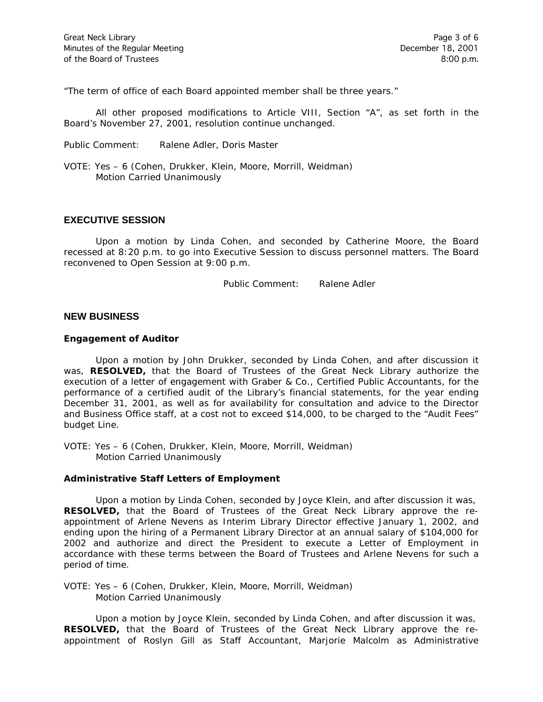"The term of office of each Board appointed member shall be three years."

All other proposed modifications to Article VIII, Section "A", as set forth in the Board's November 27, 2001, resolution continue unchanged.

Public Comment: Ralene Adler, Doris Master

VOTE: Yes – 6 (Cohen, Drukker, Klein, Moore, Morrill, Weidman) *Motion Carried Unanimously*

## **EXECUTIVE SESSION**

Upon a motion by Linda Cohen, and seconded by Catherine Moore, the Board recessed at 8:20 p.m. to go into Executive Session to discuss personnel matters. The Board reconvened to Open Session at 9:00 p.m.

Public Comment: Ralene Adler

### **NEW BUSINESS**

#### **Engagement of Auditor**

Upon a motion by John Drukker, seconded by Linda Cohen, and after discussion it was, **RESOLVED,** that the Board of Trustees of the Great Neck Library authorize the execution of a letter of engagement with Graber & Co., Certified Public Accountants, for the performance of a certified audit of the Library's financial statements, for the year ending December 31, 2001, as well as for availability for consultation and advice to the Director and Business Office staff, at a cost not to exceed \$14,000, to be charged to the "Audit Fees" budget Line.

VOTE: Yes – 6 (Cohen, Drukker, Klein, Moore, Morrill, Weidman) *Motion Carried Unanimously*

#### **Administrative Staff Letters of Employment**

Upon a motion by Linda Cohen, seconded by Joyce Klein, and after discussion it was, **RESOLVED,** that the Board of Trustees of the Great Neck Library approve the reappointment of Arlene Nevens as Interim Library Director effective January 1, 2002, and ending upon the hiring of a Permanent Library Director at an annual salary of \$104,000 for 2002 and authorize and direct the President to execute a Letter of Employment in accordance with these terms between the Board of Trustees and Arlene Nevens for such a period of time.

VOTE: Yes – 6 (Cohen, Drukker, Klein, Moore, Morrill, Weidman) *Motion Carried Unanimously*

Upon a motion by Joyce Klein, seconded by Linda Cohen, and after discussion it was, **RESOLVED,** that the Board of Trustees of the Great Neck Library approve the reappointment of Roslyn Gill as Staff Accountant, Marjorie Malcolm as Administrative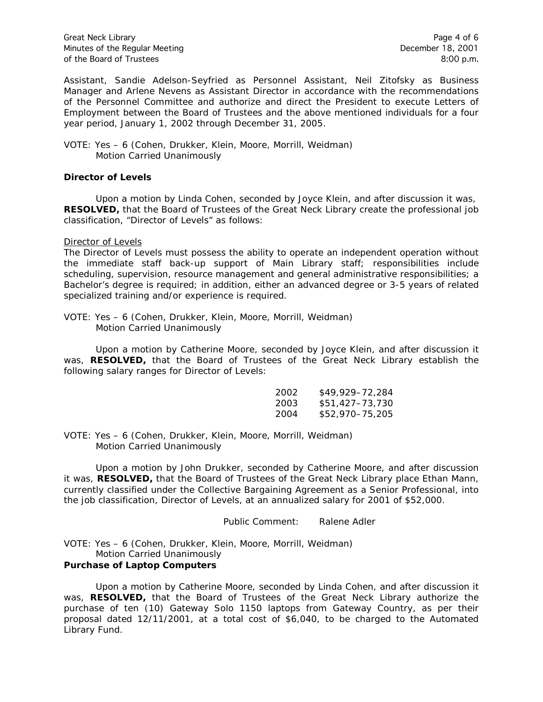Great Neck Library **Page 4 of 6** Minutes of the Regular Meeting December 18, 2001 of the Board of Trustees 8:00 p.m.

Assistant, Sandie Adelson-Seyfried as Personnel Assistant, Neil Zitofsky as Business Manager and Arlene Nevens as Assistant Director in accordance with the recommendations of the Personnel Committee and authorize and direct the President to execute Letters of Employment between the Board of Trustees and the above mentioned individuals for a four year period, January 1, 2002 through December 31, 2005.

#### VOTE: Yes – 6 (Cohen, Drukker, Klein, Moore, Morrill, Weidman) *Motion Carried Unanimously*

#### **Director of Levels**

Upon a motion by Linda Cohen, seconded by Joyce Klein, and after discussion it was, **RESOLVED,** that the Board of Trustees of the Great Neck Library create the professional job classification, "Director of Levels" as follows:

#### Director of Levels

The Director of Levels must possess the ability to operate an independent operation without the immediate staff back-up support of Main Library staff; responsibilities include scheduling, supervision, resource management and general administrative responsibilities; a Bachelor's degree is required; in addition, either an advanced degree or 3-5 years of related specialized training and/or experience is required.

VOTE: Yes – 6 (Cohen, Drukker, Klein, Moore, Morrill, Weidman) *Motion Carried Unanimously*

Upon a motion by Catherine Moore, seconded by Joyce Klein, and after discussion it was, **RESOLVED,** that the Board of Trustees of the Great Neck Library establish the following salary ranges for Director of Levels:

| 2002 | \$49.929–72.284 |
|------|-----------------|
| 2003 | \$51,427–73,730 |
| 2004 | \$52,970-75,205 |

VOTE: Yes – 6 (Cohen, Drukker, Klein, Moore, Morrill, Weidman) *Motion Carried Unanimously*

Upon a motion by John Drukker, seconded by Catherine Moore, and after discussion it was, **RESOLVED,** that the Board of Trustees of the Great Neck Library place Ethan Mann, currently classified under the Collective Bargaining Agreement as a Senior Professional, into the job classification, Director of Levels, at an annualized salary for 2001 of \$52,000.

Public Comment: Ralene Adler

VOTE: Yes – 6 (Cohen, Drukker, Klein, Moore, Morrill, Weidman) *Motion Carried Unanimously*

#### **Purchase of Laptop Computers**

Upon a motion by Catherine Moore, seconded by Linda Cohen, and after discussion it was, **RESOLVED,** that the Board of Trustees of the Great Neck Library authorize the purchase of ten (10) Gateway Solo 1150 laptops from Gateway Country, as per their proposal dated 12/11/2001, at a total cost of \$6,040, to be charged to the Automated Library Fund.